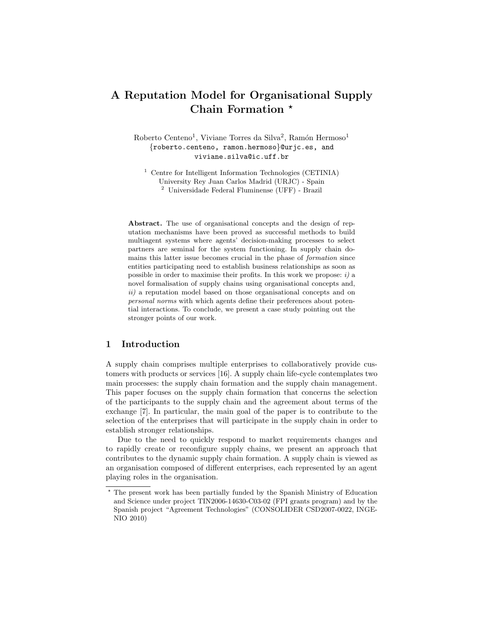# A Reputation Model for Organisational Supply Chain Formation \*

Roberto Centeno<sup>1</sup>, Viviane Torres da Silva<sup>2</sup>, Ramón Hermoso<sup>1</sup> {roberto.centeno, ramon.hermoso}@urjc.es, and viviane.silva@ic.uff.br

<sup>1</sup> Centre for Intelligent Information Technologies (CETINIA) University Rey Juan Carlos Madrid (URJC) - Spain <sup>2</sup> Universidade Federal Fluminense (UFF) - Brazil

Abstract. The use of organisational concepts and the design of reputation mechanisms have been proved as successful methods to build multiagent systems where agents' decision-making processes to select partners are seminal for the system functioning. In supply chain domains this latter issue becomes crucial in the phase of formation since entities participating need to establish business relationships as soon as possible in order to maximise their profits. In this work we propose:  $i$ ) a novel formalisation of supply chains using organisational concepts and, ii) a reputation model based on those organisational concepts and on personal norms with which agents define their preferences about potential interactions. To conclude, we present a case study pointing out the stronger points of our work.

### 1 Introduction

A supply chain comprises multiple enterprises to collaboratively provide customers with products or services [16]. A supply chain life-cycle contemplates two main processes: the supply chain formation and the supply chain management. This paper focuses on the supply chain formation that concerns the selection of the participants to the supply chain and the agreement about terms of the exchange [7]. In particular, the main goal of the paper is to contribute to the selection of the enterprises that will participate in the supply chain in order to establish stronger relationships.

Due to the need to quickly respond to market requirements changes and to rapidly create or reconfigure supply chains, we present an approach that contributes to the dynamic supply chain formation. A supply chain is viewed as an organisation composed of different enterprises, each represented by an agent playing roles in the organisation.

<sup>?</sup> The present work has been partially funded by the Spanish Ministry of Education and Science under project TIN2006-14630-C03-02 (FPI grants program) and by the Spanish project "Agreement Technologies" (CONSOLIDER CSD2007-0022, INGE-NIO 2010)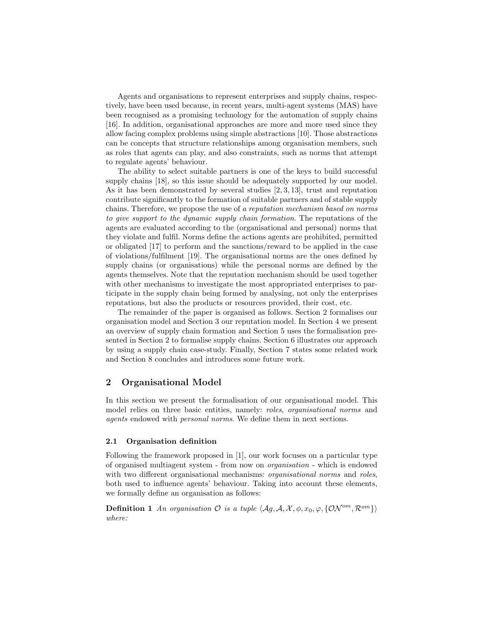Agents and organisations to represent enterprises and supply chains, respectively, have been used because, in recent years, multi-agent systems (MAS) have been recognised as a promising technology for the automation of supply chains [16]. In addition, organisational approaches are more and more used since they allow facing complex problems using simple abstractions [10]. Those abstractions can be concepts that structure relationships among organisation members, such as roles that agents can play, and also constraints, such as norms that attempt to regulate agents' behaviour.

The ability to select suitable partners is one of the keys to build successful supply chains [18], so this issue should be adequately supported by our model. As it has been demonstrated by several studies  $[2, 3, 13]$ , trust and reputation contribute significantly to the formation of suitable partners and of stable supply chains. Therefore, we propose the use of a reputation mechanism based on norms to give support to the dynamic supply chain formation. The reputations of the agents are evaluated according to the (organisational and personal) norms that they violate and fulfil. Norms define the actions agents are prohibited, permitted or obligated [17] to perform and the sanctions/reward to be applied in the case of violations/fulfilment [19]. The organisational norms are the ones defined by supply chains (or organisations) while the personal norms are defined by the agents themselves. Note that the reputation mechanism should be used together with other mechanisms to investigate the most appropriated enterprises to participate in the supply chain being formed by analysing, not only the enterprises reputations, but also the products or resources provided, their cost, etc.

The remainder of the paper is organised as follows. Section 2 formalises our organisation model and Section 3 our reputation model. In Section 4 we present an overview of supply chain formation and Section 5 uses the formalisation presented in Section 2 to formalise supply chains. Section 6 illustrates our approach by using a supply chain case-study. Finally, Section 7 states some related work and Section 8 concludes and introduces some future work.

## 2 Organisational Model

In this section we present the formalisation of our organisational model. This model relies on three basic entities, namely: roles, organisational norms and agents endowed with personal norms. We define them in next sections.

#### 2.1 Organisation definition

Following the framework proposed in [1], our work focuses on a particular type of organised multiagent system - from now on organisation - which is endowed with two different organisational mechanisms: *organisational norms* and *roles*, both used to influence agents' behaviour. Taking into account these elements, we formally define an organisation as follows:

**Definition 1** An organisation  $\mathcal{O}$  is a tuple  $\langle Ag, \mathcal{A}, \mathcal{X}, \phi, x_0, \varphi, \{\mathcal{ON}^{om}, \mathcal{R}^{om}\}\rangle$ where: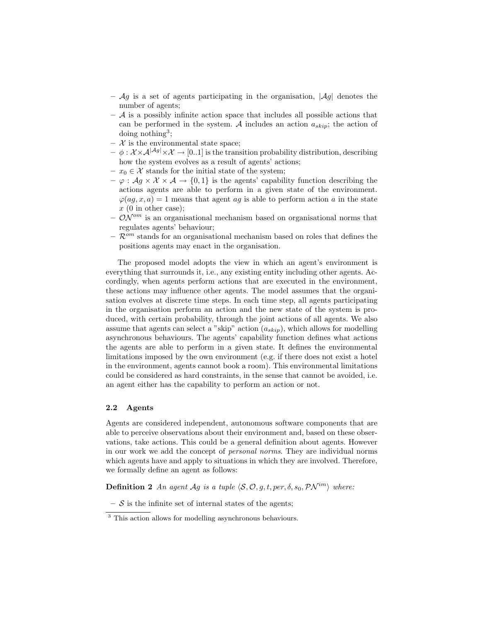- $\mathcal{A}g$  is a set of agents participating in the organisation,  $|\mathcal{A}g|$  denotes the number of agents;
- $-$  A is a possibly infinite action space that includes all possible actions that can be performed in the system. A includes an action  $a_{skin}$ ; the action of doing nothing<sup>3</sup>;
- $-$  X is the environmental state space;
- $-\phi: \mathcal{X} \times \mathcal{A}^{|\mathcal{A}g|} \times \mathcal{X} \rightarrow [0,1]$  is the transition probability distribution, describing how the system evolves as a result of agents' actions;
- $x_0 \in \mathcal{X}$  stands for the initial state of the system;
- $-\varphi : \mathcal{A}g \times \mathcal{X} \times \mathcal{A} \rightarrow \{0,1\}$  is the agents' capability function describing the actions agents are able to perform in a given state of the environment.  $\varphi(ag, x, a) = 1$  means that agent ag is able to perform action a in the state  $x(0)$  in other case);
- $\mathcal{ON}^{om}$  is an organisational mechanism based on organisational norms that regulates agents' behaviour;
- $\mathcal{R}^{om}$  stands for an organisational mechanism based on roles that defines the positions agents may enact in the organisation.

The proposed model adopts the view in which an agent's environment is everything that surrounds it, i.e., any existing entity including other agents. Accordingly, when agents perform actions that are executed in the environment, these actions may influence other agents. The model assumes that the organisation evolves at discrete time steps. In each time step, all agents participating in the organisation perform an action and the new state of the system is produced, with certain probability, through the joint actions of all agents. We also assume that agents can select a "skip" action  $(a_{skip})$ , which allows for modelling asynchronous behaviours. The agents' capability function defines what actions the agents are able to perform in a given state. It defines the environmental limitations imposed by the own environment (e.g. if there does not exist a hotel in the environment, agents cannot book a room). This environmental limitations could be considered as hard constraints, in the sense that cannot be avoided, i.e. an agent either has the capability to perform an action or not.

#### 2.2 Agents

Agents are considered independent, autonomous software components that are able to perceive observations about their environment and, based on these observations, take actions. This could be a general definition about agents. However in our work we add the concept of personal norms. They are individual norms which agents have and apply to situations in which they are involved. Therefore, we formally define an agent as follows:

**Definition 2** An agent Ag is a tuple  $\langle \mathcal{S}, \mathcal{O}, g, t, per, \delta, s_0, \mathcal{P} \mathcal{N}^{im} \rangle$  where:

 $-$  S is the infinite set of internal states of the agents;

<sup>&</sup>lt;sup>3</sup> This action allows for modelling asynchronous behaviours.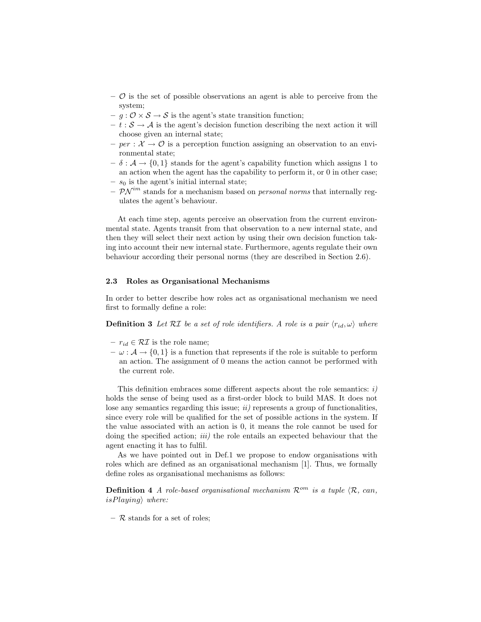- $\mathcal{O}$  is the set of possible observations an agent is able to perceive from the system;
- $-g: \mathcal{O} \times \mathcal{S} \rightarrow \mathcal{S}$  is the agent's state transition function;
- $t : \mathcal{S} \to \mathcal{A}$  is the agent's decision function describing the next action it will choose given an internal state;
- per :  $\mathcal{X} \to \mathcal{O}$  is a perception function assigning an observation to an environmental state;
- $-\delta : \mathcal{A} \to \{0,1\}$  stands for the agent's capability function which assigns 1 to an action when the agent has the capability to perform it, or 0 in other case; –  $s_0$  is the agent's initial internal state;
- $\mathcal{PN}^{im}$  stands for a mechanism based on *personal norms* that internally regulates the agent's behaviour.

At each time step, agents perceive an observation from the current environmental state. Agents transit from that observation to a new internal state, and then they will select their next action by using their own decision function taking into account their new internal state. Furthermore, agents regulate their own behaviour according their personal norms (they are described in Section 2.6).

#### 2.3 Roles as Organisational Mechanisms

In order to better describe how roles act as organisational mechanism we need first to formally define a role:

**Definition 3** Let RI be a set of role identifiers. A role is a pair  $\langle r_{id}, \omega \rangle$  where

- $r_{id} \in \mathcal{RI}$  is the role name;
- $-\omega : \mathcal{A} \to \{0,1\}$  is a function that represents if the role is suitable to perform an action. The assignment of 0 means the action cannot be performed with the current role.

This definition embraces some different aspects about the role semantics:  $i$ ) holds the sense of being used as a first-order block to build MAS. It does not lose any semantics regarding this issue;  $ii)$  represents a group of functionalities, since every role will be qualified for the set of possible actions in the system. If the value associated with an action is 0, it means the role cannot be used for doing the specified action; *iii*) the role entails an expected behaviour that the agent enacting it has to fulfil.

As we have pointed out in Def.1 we propose to endow organisations with roles which are defined as an organisational mechanism [1]. Thus, we formally define roles as organisational mechanisms as follows:

**Definition 4** A role-based organisational mechanism  $\mathcal{R}^{om}$  is a tuple  $\langle \mathcal{R}, can$ ,  $isPlaying$  where:

 $-$  R stands for a set of roles;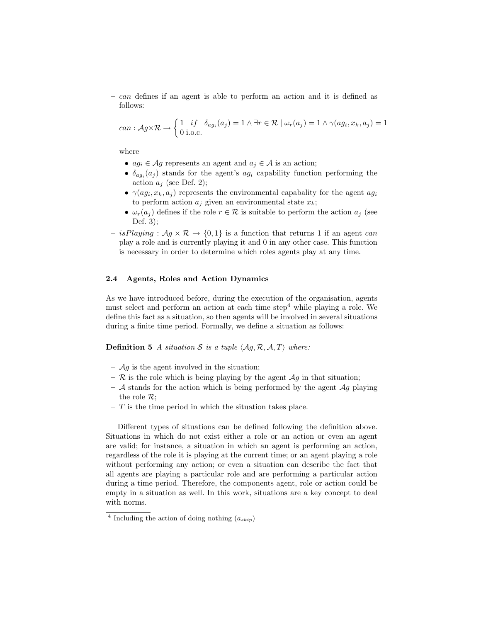– can defines if an agent is able to perform an action and it is defined as follows:

can: 
$$
Ag \times \mathcal{R} \to \begin{cases} 1 & \text{if } \delta_{ag_i}(a_j) = 1 \land \exists r \in \mathcal{R} \mid \omega_r(a_j) = 1 \land \gamma(ag_i, x_k, a_j) = 1 \\ 0 & \text{i.o.c.} \end{cases}
$$

where

- $ag_i \in \mathcal{A}g$  represents an agent and  $a_j \in \mathcal{A}$  is an action;
- $\delta_{ag_i}(a_j)$  stands for the agent's  $ag_i$  capability function performing the action  $a_j$  (see Def. 2);
- $\gamma(ag_i, x_k, a_j)$  represents the environmental capabality for the agent  $ag_i$ to perform action  $a_j$  given an environmental state  $x_k$ ;
- $\omega_r(a_i)$  defines if the role  $r \in \mathcal{R}$  is suitable to perform the action  $a_i$  (see Def. 3);
- isPlaying :  $Ag \times \mathcal{R} \rightarrow \{0,1\}$  is a function that returns 1 if an agent can play a role and is currently playing it and 0 in any other case. This function is necessary in order to determine which roles agents play at any time.

### 2.4 Agents, Roles and Action Dynamics

As we have introduced before, during the execution of the organisation, agents must select and perform an action at each time step<sup>4</sup> while playing a role. We define this fact as a situation, so then agents will be involved in several situations during a finite time period. Formally, we define a situation as follows:

### **Definition 5** A situation S is a tuple  $\langle Ag, R, A, T \rangle$  where:

- $\mathcal{A}g$  is the agent involved in the situation;
- $\mathcal R$  is the role which is being playing by the agent  $\mathcal Ag$  in that situation;
- $A$  stands for the action which is being performed by the agent  $Ag$  playing the role  $\mathcal{R}$ ;
- $-$  T is the time period in which the situation takes place.

Different types of situations can be defined following the definition above. Situations in which do not exist either a role or an action or even an agent are valid; for instance, a situation in which an agent is performing an action, regardless of the role it is playing at the current time; or an agent playing a role without performing any action; or even a situation can describe the fact that all agents are playing a particular role and are performing a particular action during a time period. Therefore, the components agent, role or action could be empty in a situation as well. In this work, situations are a key concept to deal with norms.

<sup>&</sup>lt;sup>4</sup> Including the action of doing nothing  $(a_{skip})$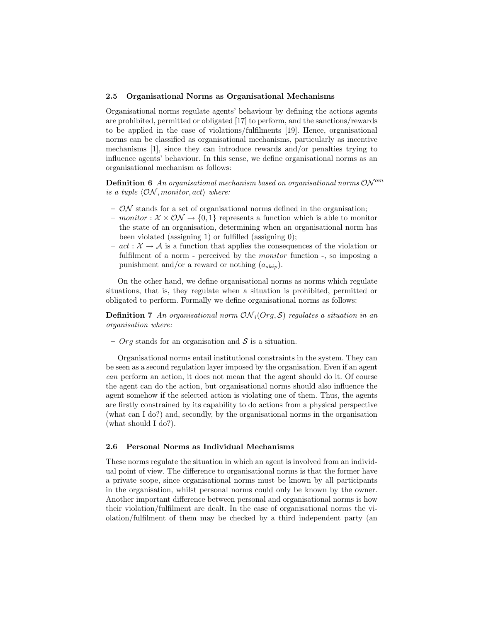### 2.5 Organisational Norms as Organisational Mechanisms

Organisational norms regulate agents' behaviour by defining the actions agents are prohibited, permitted or obligated [17] to perform, and the sanctions/rewards to be applied in the case of violations/fulfilments [19]. Hence, organisational norms can be classified as organisational mechanisms, particularly as incentive mechanisms [1], since they can introduce rewards and/or penalties trying to influence agents' behaviour. In this sense, we define organisational norms as an organisational mechanism as follows:

**Definition 6** An organisational mechanism based on organisational norms  $ON^{om}$ is a tuple  $\langle \mathcal{ON}, monitor, act \rangle$  where:

- $-$  ON stands for a set of organisational norms defined in the organisation;
- monitor :  $\mathcal{X} \times \mathcal{ON} \rightarrow \{0, 1\}$  represents a function which is able to monitor the state of an organisation, determining when an organisational norm has been violated (assigning 1) or fulfilled (assigning 0);
- $act: \mathcal{X} \rightarrow \mathcal{A}$  is a function that applies the consequences of the violation or fulfilment of a norm - perceived by the *monitor* function -, so imposing a punishment and/or a reward or nothing  $(a_{skip})$ .

On the other hand, we define organisational norms as norms which regulate situations, that is, they regulate when a situation is prohibited, permitted or obligated to perform. Formally we define organisational norms as follows:

**Definition 7** An organisational norm  $ON<sub>i</sub>(Org, S)$  regulates a situation in an organisation where:

–  $Org$  stands for an organisation and  $S$  is a situation.

Organisational norms entail institutional constraints in the system. They can be seen as a second regulation layer imposed by the organisation. Even if an agent can perform an action, it does not mean that the agent should do it. Of course the agent can do the action, but organisational norms should also influence the agent somehow if the selected action is violating one of them. Thus, the agents are firstly constrained by its capability to do actions from a physical perspective (what can I do?) and, secondly, by the organisational norms in the organisation (what should I do?).

#### 2.6 Personal Norms as Individual Mechanisms

These norms regulate the situation in which an agent is involved from an individual point of view. The difference to organisational norms is that the former have a private scope, since organisational norms must be known by all participants in the organisation, whilst personal norms could only be known by the owner. Another important difference between personal and organisational norms is how their violation/fulfilment are dealt. In the case of organisational norms the violation/fulfilment of them may be checked by a third independent party (an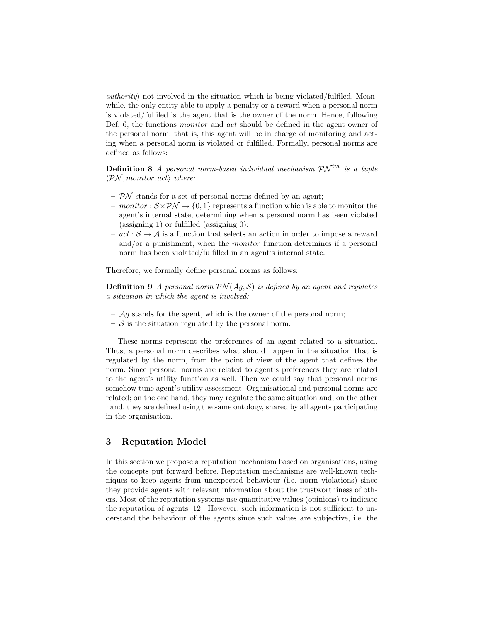authority) not involved in the situation which is being violated/fulfiled. Meanwhile, the only entity able to apply a penalty or a reward when a personal norm is violated/fulfiled is the agent that is the owner of the norm. Hence, following Def. 6, the functions *monitor* and *act* should be defined in the agent owner of the personal norm; that is, this agent will be in charge of monitoring and acting when a personal norm is violated or fulfilled. Formally, personal norms are defined as follows:

**Definition 8** A personal norm-based individual mechanism  $\mathcal{PN}^{im}$  is a tuple  $\langle \mathcal{PN}, monitor, act \rangle$  where:

- $-$  PN stands for a set of personal norms defined by an agent;
- monitor :  $S \times \mathcal{PN} \rightarrow \{0, 1\}$  represents a function which is able to monitor the agent's internal state, determining when a personal norm has been violated (assigning 1) or fulfilled (assigning 0);
- $-\, act : S \to A$  is a function that selects an action in order to impose a reward and/or a punishment, when the monitor function determines if a personal norm has been violated/fulfilled in an agent's internal state.

Therefore, we formally define personal norms as follows:

**Definition 9** A personal norm  $PN(Ag, S)$  is defined by an agent and regulates a situation in which the agent is involved:

- $Ag$  stands for the agent, which is the owner of the personal norm;
- $-$  S is the situation regulated by the personal norm.

These norms represent the preferences of an agent related to a situation. Thus, a personal norm describes what should happen in the situation that is regulated by the norm, from the point of view of the agent that defines the norm. Since personal norms are related to agent's preferences they are related to the agent's utility function as well. Then we could say that personal norms somehow tune agent's utility assessment. Organisational and personal norms are related; on the one hand, they may regulate the same situation and; on the other hand, they are defined using the same ontology, shared by all agents participating in the organisation.

### 3 Reputation Model

In this section we propose a reputation mechanism based on organisations, using the concepts put forward before. Reputation mechanisms are well-known techniques to keep agents from unexpected behaviour (i.e. norm violations) since they provide agents with relevant information about the trustworthiness of others. Most of the reputation systems use quantitative values (opinions) to indicate the reputation of agents [12]. However, such information is not sufficient to understand the behaviour of the agents since such values are subjective, i.e. the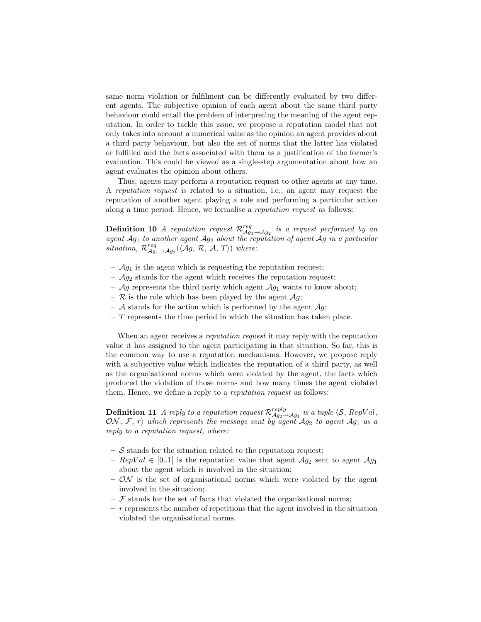same norm violation or fulfilment can be differently evaluated by two different agents. The subjective opinion of each agent about the same third party behaviour could entail the problem of interpreting the meaning of the agent reputation. In order to tackle this issue, we propose a reputation model that not only takes into account a numerical value as the opinion an agent provides about a third party behaviour, but also the set of norms that the latter has violated or fulfilled and the facts associated with them as a justification of the former's evaluation. This could be viewed as a single-step argumentation about how an agent evaluates the opinion about others.

Thus, agents may perform a reputation request to other agents at any time. A reputation request is related to a situation, i.e., an agent may request the reputation of another agent playing a role and performing a particular action along a time period. Hence, we formalise a reputation request as follows:

**Definition 10** A reputation request  $\mathcal{R}_{\mathcal{A}g_1 \to \mathcal{A}g_2}^{req}$  is a request performed by an agent  $Ag_1$  to another agent  $Ag_2$  about the reputation of agent  $Ag$  in a particular situation,  $\mathcal{R}_{\mathcal{A}g_1 \to \mathcal{A}g_2}^{req}(\langle \mathcal{A}g, \mathcal{R}, \mathcal{A}, T \rangle)$  where:

- $\mathcal{A}g_1$  is the agent which is requesting the reputation request;
- $Ag_2$  stands for the agent which receives the reputation request;
- $\mathcal{A}g$  represents the third party which agent  $\mathcal{A}g_1$  wants to know about;
- $\mathcal R$  is the role which has been played by the agent  $\mathcal Ag$ ;
- A stands for the action which is performed by the agent  $\mathcal{A}g$ ;
- $-$  T represents the time period in which the situation has taken place.

When an agent receives a *reputation request* it may reply with the reputation value it has assigned to the agent participating in that situation. So far, this is the common way to use a reputation mechanisms. However, we propose reply with a subjective value which indicates the reputation of a third party, as well as the organisational norms which were violated by the agent, the facts which produced the violation of those norms and how many times the agent violated them. Hence, we define a reply to a reputation request as follows:

**Definition 11** A reply to a reputation request  $\mathcal{R}_{\mathcal{A}g_2 \to \mathcal{A}g_1}^{reply}$  is a tuple  $\langle \mathcal{S}, RepVal,$ ON, F, r) which represents the message sent by agent  $Ag_2$  to agent  $Ag_1$  as a reply to a reputation request, where:

- $-$  S stands for the situation related to the reputation request;
- $\text{RepVal} \in [0..1]$  is the reputation value that agent  $\mathcal{A}g_2$  sent to agent  $\mathcal{A}g_1$ about the agent which is involved in the situation;
- $-$  ON is the set of organisational norms which were violated by the agent involved in the situation;
- $\mathcal F$  stands for the set of facts that violated the organisational norms;
- $r$  represents the number of repetitions that the agent involved in the situation violated the organisational norms.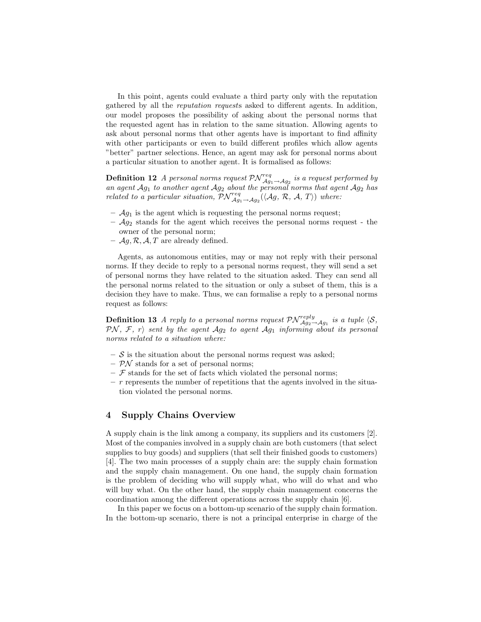In this point, agents could evaluate a third party only with the reputation gathered by all the reputation requests asked to different agents. In addition, our model proposes the possibility of asking about the personal norms that the requested agent has in relation to the same situation. Allowing agents to ask about personal norms that other agents have is important to find affinity with other participants or even to build different profiles which allow agents "better" partner selections. Hence, an agent may ask for personal norms about a particular situation to another agent. It is formalised as follows:

**Definition 12** A personal norms request  $\mathcal{PN}_{\mathcal{A}g_1 \to \mathcal{A}g_2}^{req}$  is a request performed by an agent  $Ag_1$  to another agent  $Ag_2$  about the personal norms that agent  $Ag_2$  has related to a particular situation,  $\mathcal{PN}_{\mathcal{A}g_1\to\mathcal{A}g_2}^{req}(\langle \mathcal{A}g, \mathcal{R}, \mathcal{A}, T \rangle)$  where:

- $\mathcal{A}g_1$  is the agent which is requesting the personal norms request;
- $\mathcal{A}g_2$  stands for the agent which receives the personal norms request the owner of the personal norm;
- $\mathcal{A}_g$ ,  $\mathcal{R}, \mathcal{A}, T$  are already defined.

Agents, as autonomous entities, may or may not reply with their personal norms. If they decide to reply to a personal norms request, they will send a set of personal norms they have related to the situation asked. They can send all the personal norms related to the situation or only a subset of them, this is a decision they have to make. Thus, we can formalise a reply to a personal norms request as follows:

**Definition 13** A reply to a personal norms request  $\mathcal{PN}_{\mathcal{A}g_2 \to \mathcal{A}g_1}^{reply}$  is a tuple  $\langle \mathcal{S}, \rangle$  $\mathcal{PN},\ \mathcal{F},\ r\rangle$  sent by the agent  $\mathcal{A}g_2$  to agent  $\mathcal{A}g_1$  informing about its personal norms related to a situation where:

- $-$  S is the situation about the personal norms request was asked;
- $\mathcal{P} \mathcal{N}$  stands for a set of personal norms;
- $\mathcal F$  stands for the set of facts which violated the personal norms;
- $r$  represents the number of repetitions that the agents involved in the situation violated the personal norms.

### 4 Supply Chains Overview

A supply chain is the link among a company, its suppliers and its customers [2]. Most of the companies involved in a supply chain are both customers (that select supplies to buy goods) and suppliers (that sell their finished goods to customers) [4]. The two main processes of a supply chain are: the supply chain formation and the supply chain management. On one hand, the supply chain formation is the problem of deciding who will supply what, who will do what and who will buy what. On the other hand, the supply chain management concerns the coordination among the different operations across the supply chain [6].

In this paper we focus on a bottom-up scenario of the supply chain formation. In the bottom-up scenario, there is not a principal enterprise in charge of the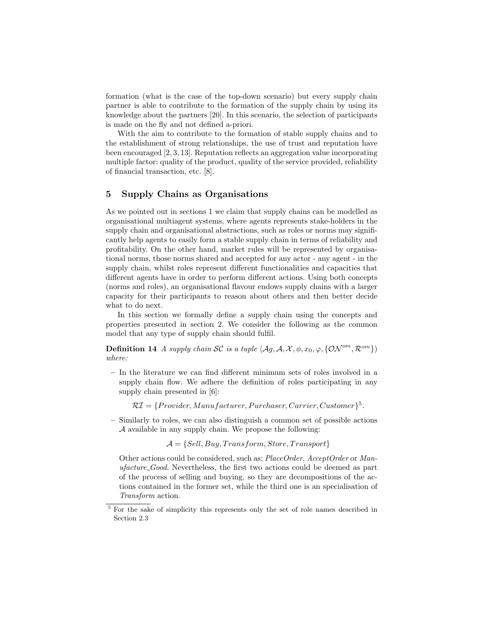formation (what is the case of the top-down scenario) but every supply chain partner is able to contribute to the formation of the supply chain by using its knowledge about the partners [20]. In this scenario, the selection of participants is made on the fly and not defined a-priori.

With the aim to contribute to the formation of stable supply chains and to the establishment of strong relationships, the use of trust and reputation have been encouraged [2, 3, 13]. Reputation reflects an aggregation value incorporating multiple factor: quality of the product, quality of the service provided, reliability of financial transaction, etc. [8].

## 5 Supply Chains as Organisations

As we pointed out in sections 1 we claim that supply chains can be modelled as organisational multiagent systems, where agents represents stake-holders in the supply chain and organisational abstractions, such as roles or norms may significantly help agents to easily form a stable supply chain in terms of reliability and profitability. On the other hand, market rules will be represented by organisational norms, those norms shared and accepted for any actor - any agent - in the supply chain, whilst roles represent different functionalities and capacities that different agents have in order to perform different actions. Using both concepts (norms and roles), an organisational flavour endows supply chains with a larger capacity for their participants to reason about others and then better decide what to do next.

In this section we formally define a supply chain using the concepts and properties presented in section 2. We consider the following as the common model that any type of supply chain should fulfil.

**Definition 14** A supply chain SC is a tuple  $\{A_g, A, X, \phi, x_0, \varphi, \{\mathcal{ON}^{om}, \mathcal{R}^{om}\}\}\$ where:

– In the literature we can find different minimum sets of roles involved in a supply chain flow. We adhere the definition of roles participating in any supply chain presented in [6]:

 $\mathcal{R} \mathcal{I} = \{{{Provider}, {Manufacturer}, {Purchaser}, {Carrier}, {Customer}\}^5.$ 

– Similarly to roles, we can also distinguish a common set of possible actions A available in any supply chain. We propose the following:

 $A = \{Sell, Buy, Transform, Store, Transport\}$ 

Other actions could be considered, such as: PlaceOrder, AcceptOrder or Manufacture Good. Nevertheless, the first two actions could be deemed as part of the process of selling and buying, so they are decompositions of the actions contained in the former set, while the third one is an specialisation of Transform action.

<sup>&</sup>lt;sup>5</sup> For the sake of simplicity this represents only the set of role names described in Section 2.3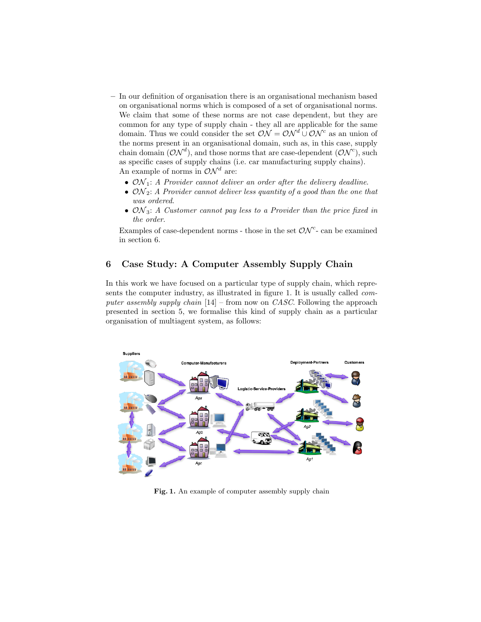- In our definition of organisation there is an organisational mechanism based on organisational norms which is composed of a set of organisational norms. We claim that some of these norms are not case dependent, but they are common for any type of supply chain - they all are applicable for the same domain. Thus we could consider the set  $\mathcal{ON} = \mathcal{ON}^d \cup \mathcal{ON}^c$  as an union of the norms present in an organisational domain, such as, in this case, supply chain domain  $(\mathcal{ON}^d)$ , and those norms that are case-dependent  $(\mathcal{ON}^c)$ , such as specific cases of supply chains (i.e. car manufacturing supply chains). An example of norms in  $\mathcal{ON}^d$  are:
	- $ON_1$ : A Provider cannot deliver an order after the delivery deadline.
	- $ON_2$ : A Provider cannot deliver less quantity of a good than the one that was ordered.
	- $ON_3$ : A Customer cannot pay less to a Provider than the price fixed in the order.

Examples of case-dependent norms - those in the set  $\mathcal{ON}^{c}$ - can be examined in section 6.

# 6 Case Study: A Computer Assembly Supply Chain

In this work we have focused on a particular type of supply chain, which represents the computer industry, as illustrated in figure 1. It is usually called computer assembly supply chain  $[14]$  – from now on *CASC*. Following the approach presented in section 5, we formalise this kind of supply chain as a particular organisation of multiagent system, as follows:



Fig. 1. An example of computer assembly supply chain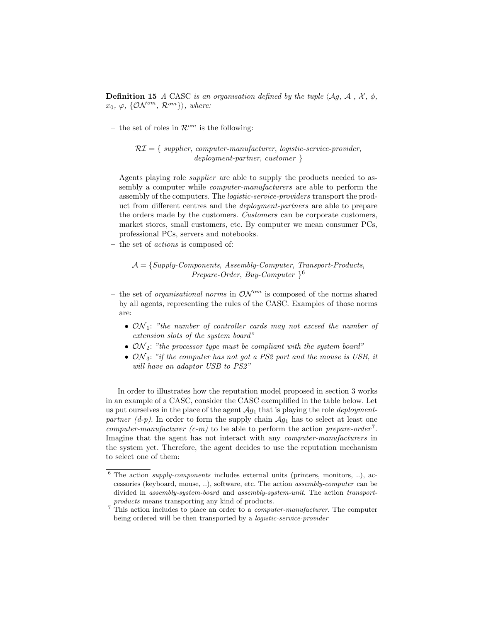**Definition 15** A CASC is an organisation defined by the tuple  $\langle \mathcal{A}_q, \mathcal{A}, \mathcal{X}, \phi, \mathcal{A} \rangle$  $x_0, \varphi, \{\mathcal{ON}^{om}, \mathcal{R}^{om}\}\rangle,$  where:

– the set of roles in  $\mathcal{R}^{om}$  is the following:

 $\mathcal{R}I = \{ \text{ supplier}, \text{computer-manufacturer}, \text{ logistic-service-provider}, \text{} \}$ deployment-partner, customer }

Agents playing role *supplier* are able to supply the products needed to assembly a computer while computer-manufacturers are able to perform the assembly of the computers. The logistic-service-providers transport the product from different centres and the deployment-partners are able to prepare the orders made by the customers. Customers can be corporate customers, market stores, small customers, etc. By computer we mean consumer PCs, professional PCs, servers and notebooks.

– the set of actions is composed of:

 $\mathcal{A} = \{Supply-Components, Assembly-Computer, Transport-Products,$ Prepare-Order, Buy-Computer } 6

- the set of *organisational norms* in  $\mathcal{ON}^{om}$  is composed of the norms shared by all agents, representing the rules of the CASC. Examples of those norms are:
	- $ON_1$ : "the number of controller cards may not exceed the number of extension slots of the system board"
	- $ON_2$ : "the processor type must be compliant with the system board"
	- $ON_3$ : "if the computer has not got a PS2 port and the mouse is USB, it will have an adaptor USB to PS2"

In order to illustrates how the reputation model proposed in section 3 works in an example of a CASC, consider the CASC exemplified in the table below. Let us put ourselves in the place of the agent  $\mathcal{A}_{q_1}$  that is playing the role *deployment*partner (d-p). In order to form the supply chain  $Ag_1$  has to select at least one computer-manufacturer  $(c-m)$  to be able to perform the action prepare-order<sup>7</sup>. Imagine that the agent has not interact with any computer-manufacturers in the system yet. Therefore, the agent decides to use the reputation mechanism to select one of them:

 $6$  The action *supply-components* includes external units (printers, monitors, ..), accessories (keyboard, mouse, ..), software, etc. The action assembly-computer can be divided in assembly-system-board and assembly-system-unit. The action transportproducts means transporting any kind of products.

<sup>&</sup>lt;sup>7</sup> This action includes to place an order to a *computer-manufacturer*. The computer being ordered will be then transported by a *logistic-service-provider*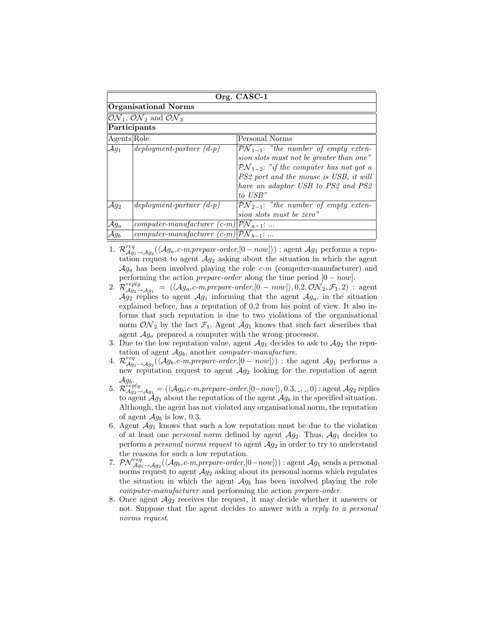| Org. CASC-1                                                                 |                                                    |                                                                                                                                                                                                                                                    |
|-----------------------------------------------------------------------------|----------------------------------------------------|----------------------------------------------------------------------------------------------------------------------------------------------------------------------------------------------------------------------------------------------------|
| <b>Organisational Norms</b>                                                 |                                                    |                                                                                                                                                                                                                                                    |
| $\mathcal{ON}_1, \overline{\mathcal{ON}_2}$ and $\overline{\mathcal{ON}}_3$ |                                                    |                                                                                                                                                                                                                                                    |
| Participants                                                                |                                                    |                                                                                                                                                                                                                                                    |
| Agents Role                                                                 |                                                    | Personal Norms                                                                                                                                                                                                                                     |
| $\mathcal{A}g_1$                                                            | $deployment-partner (d-p)$                         | $\mathcal{PN}_{1-1}$ : "the number of empty exten-<br>sion slots must not be greater than one"<br>$\mathcal{PN}_{1-2}$ : "if the computer has not got a<br>PS2 port and the mouse is USB, it will<br>have an adaptor USB to PS2 and PS2<br>to USB" |
| $\mathcal{A}g_2$                                                            | $deployment-partner (d-p)$                         | $\mathcal{PN}_{2-1}$ : "the number of empty exten-<br>sion slots must be zero"                                                                                                                                                                     |
| $\mathcal{A}g_a$                                                            | computer-manufacturer $(c-m) \mathcal{PN}_{a-1}:$  |                                                                                                                                                                                                                                                    |
| $\mathcal{A}g_b$                                                            | computer-manufacturer $(c-m) \mathcal{PN}_{b-1}$ : |                                                                                                                                                                                                                                                    |

- 1.  $\mathcal{R}_{\mathcal{A}g_1 \to \mathcal{A}g_2}^{req}(\langle \mathcal{A}g_a, c-m, prepare-order, [0-now]\rangle)$ : agent  $\mathcal{A}g_1$  performs a reputation request to agent  $Ag_2$  asking about the situation in which the agent  $Ag_a$  has been involved playing the role  $c-m$  (computer-manufacturer) and performing the action *prepare-order* along the time period  $[0 - now]$ .
- 2.  $\mathcal{R}^{reply}_{\mathcal{A}g_2 \rightarrow \mathcal{A}g_1} = (\langle \mathcal{A}g_a, c\text{-}m, prepare-order, [0 now] \rangle, 0.2, \mathcal{ON}_2, \mathcal{F}_1, 2)$ : agent  $\mathcal{A}g_2$  replies to agent  $\mathcal{A}g_1$  informing that the agent  $\mathcal{A}g_a$ , in the situation explained before, has a reputation of 0.2 from his point of view. It also informs that such reputation is due to two violations of the organisational norm  $ON<sub>2</sub>$  by the fact  $\mathcal{F}<sub>1</sub>$ . Agent  $\mathcal{A}g<sub>1</sub>$  knows that such fact describes that agent  $Ag_a$  prepared a computer with the wrong processor.
- 3. Due to the low reputation value, agent  $\mathcal{A}g_1$  decides to ask to  $\mathcal{A}g_2$  the reputation of agent  $Ag_b$ , another *computer-manufacture*.
- 4.  $\mathcal{R}_{\mathcal{A}g_1\to\mathcal{A}g_2}^{req}(\langle\mathcal{A}g_b,c-m,prepare-order,[0-now]\rangle)$ : the agent  $\mathcal{A}g_1$  performs a new reputation request to agent  $Ag_2$  looking for the reputation of agent  $\mathcal{A}g_b$ .
- 5.  $\mathcal{R}^{\text{reply}}_{\mathcal{A}g_2 \to \mathcal{A}g_1} = (\langle \mathcal{A}g_b, c\text{-}m, prepare-order, [0-now] \rangle, 0.3, \_,\_, 0)$ : agent  $\mathcal{A}g_2$  replies to agent  $\mathcal{A}_{g_1}$  about the reputation of the agent  $\mathcal{A}_{g_b}$  in the specified situation. Although, the agent has not violated any organisational norm, the reputation of agent  $\mathcal{A}g_b$  is low, 0.3.
- 6. Agent  $\mathcal{A}_{g_1}$  knows that such a low reputation must be due to the violation of at least one *personal norm* defined by agent  $\mathcal{A}g_2$ . Thus,  $\mathcal{A}g_1$  decides to perform a *personal norms request* to agent  $Ag_2$  in order to try to understand the reasons for such a low reputation.
- 7.  $\mathcal{PN}_{\mathcal{A}g_1\to\mathcal{A}g_2}^{req}(\langle\mathcal{A}g_b,c-m,prepare-order,[0-now]\rangle)$ : agent  $\mathcal{A}g_1$  sends a personal norms request to agent  $\mathcal{A}g_2$  asking about its personal norms which regulates the situation in which the agent  $Ag<sub>b</sub>$  has been involved playing the role computer-manufacturer and performing the action prepare-order.
- 8. Once agent  $Ag_2$  receives the request, it may decide whether it answers or not. Suppose that the agent decides to answer with a reply to a personal norms request.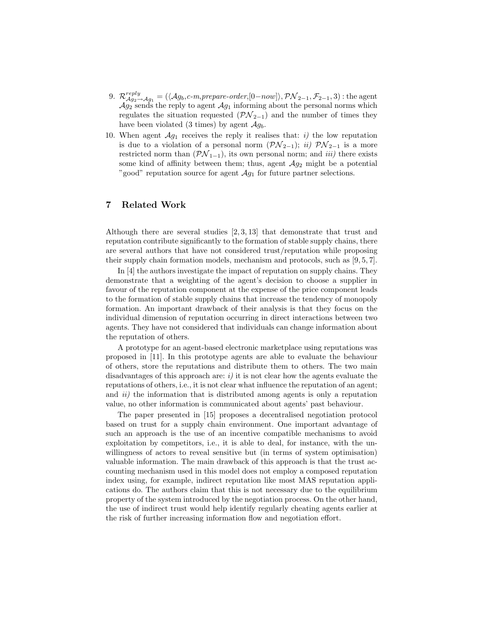- 9.  $\mathcal{R}^{reply}_{\mathcal{A}g_2 \to \mathcal{A}g_1} = (\langle \mathcal{A}g_b, c\text{-}m, prepare-order, [0-now] \rangle, \mathcal{PN}_{2-1}, \mathcal{F}_{2-1}, 3)$ : the agent  $Ag_2$  sends the reply to agent  $Ag_1$  informing about the personal norms which regulates the situation requested  $(\mathcal{PN}_{2-1})$  and the number of times they have been violated (3 times) by agent  $\mathcal{A}g_b$ .
- 10. When agent  $\mathcal{A}_{g_1}$  receives the reply it realises that: *i*) the low reputation is due to a violation of a personal norm  $(\mathcal{PN}_{2-1});$  ii)  $\mathcal{PN}_{2-1}$  is a more restricted norm than  $(\mathcal{PN}_{1-1})$ , its own personal norm; and *iii*) there exists some kind of affinity between them; thus, agent  $\mathcal{A}g_2$  might be a potential "good" reputation source for agent  $\mathcal{A}g_1$  for future partner selections.

# 7 Related Work

Although there are several studies  $[2, 3, 13]$  that demonstrate that trust and reputation contribute significantly to the formation of stable supply chains, there are several authors that have not considered trust/reputation while proposing their supply chain formation models, mechanism and protocols, such as [9, 5, 7].

In [4] the authors investigate the impact of reputation on supply chains. They demonstrate that a weighting of the agent's decision to choose a supplier in favour of the reputation component at the expense of the price component leads to the formation of stable supply chains that increase the tendency of monopoly formation. An important drawback of their analysis is that they focus on the individual dimension of reputation occurring in direct interactions between two agents. They have not considered that individuals can change information about the reputation of others.

A prototype for an agent-based electronic marketplace using reputations was proposed in [11]. In this prototype agents are able to evaluate the behaviour of others, store the reputations and distribute them to others. The two main disadvantages of this approach are:  $i$ ) it is not clear how the agents evaluate the reputations of others, i.e., it is not clear what influence the reputation of an agent; and *ii*) the information that is distributed among agents is only a reputation value, no other information is communicated about agents' past behaviour.

The paper presented in [15] proposes a decentralised negotiation protocol based on trust for a supply chain environment. One important advantage of such an approach is the use of an incentive compatible mechanisms to avoid exploitation by competitors, i.e., it is able to deal, for instance, with the unwillingness of actors to reveal sensitive but (in terms of system optimisation) valuable information. The main drawback of this approach is that the trust accounting mechanism used in this model does not employ a composed reputation index using, for example, indirect reputation like most MAS reputation applications do. The authors claim that this is not necessary due to the equilibrium property of the system introduced by the negotiation process. On the other hand, the use of indirect trust would help identify regularly cheating agents earlier at the risk of further increasing information flow and negotiation effort.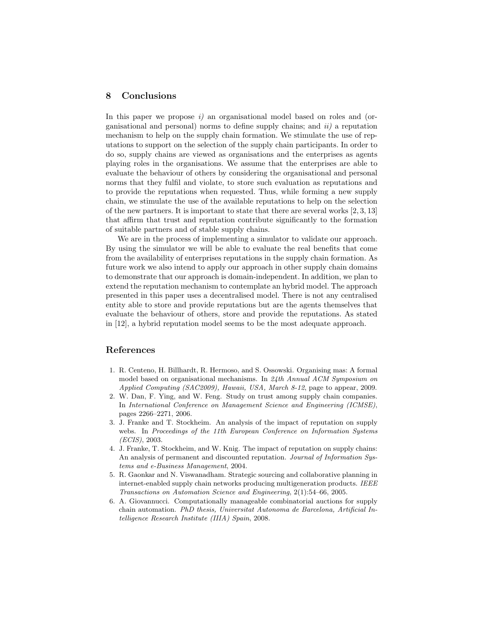## 8 Conclusions

In this paper we propose  $i$ ) an organisational model based on roles and (organisational and personal) norms to define supply chains; and  $ii$  a reputation mechanism to help on the supply chain formation. We stimulate the use of reputations to support on the selection of the supply chain participants. In order to do so, supply chains are viewed as organisations and the enterprises as agents playing roles in the organisations. We assume that the enterprises are able to evaluate the behaviour of others by considering the organisational and personal norms that they fulfil and violate, to store such evaluation as reputations and to provide the reputations when requested. Thus, while forming a new supply chain, we stimulate the use of the available reputations to help on the selection of the new partners. It is important to state that there are several works [2, 3, 13] that affirm that trust and reputation contribute significantly to the formation of suitable partners and of stable supply chains.

We are in the process of implementing a simulator to validate our approach. By using the simulator we will be able to evaluate the real benefits that come from the availability of enterprises reputations in the supply chain formation. As future work we also intend to apply our approach in other supply chain domains to demonstrate that our approach is domain-independent. In addition, we plan to extend the reputation mechanism to contemplate an hybrid model. The approach presented in this paper uses a decentralised model. There is not any centralised entity able to store and provide reputations but are the agents themselves that evaluate the behaviour of others, store and provide the reputations. As stated in [12], a hybrid reputation model seems to be the most adequate approach.

### References

- 1. R. Centeno, H. Billhardt, R. Hermoso, and S. Ossowski. Organising mas: A formal model based on organisational mechanisms. In 24th Annual ACM Symposium on Applied Computing (SAC2009), Hawaii, USA, March 8-12, page to appear, 2009.
- 2. W. Dan, F. Ying, and W. Feng. Study on trust among supply chain companies. In International Conference on Management Science and Engineering (ICMSE), pages 2266–2271, 2006.
- 3. J. Franke and T. Stockheim. An analysis of the impact of reputation on supply webs. In Proceedings of the 11th European Conference on Information Systems (ECIS), 2003.
- 4. J. Franke, T. Stockheim, and W. Knig. The impact of reputation on supply chains: An analysis of permanent and discounted reputation. Journal of Information Systems and e-Business Management, 2004.
- 5. R. Gaonkar and N. Viswanadham. Strategic sourcing and collaborative planning in internet-enabled supply chain networks producing multigeneration products. IEEE Transactions on Automation Science and Engineering, 2(1):54–66, 2005.
- 6. A. Giovannucci. Computationally manageable combinatorial auctions for supply chain automation. PhD thesis, Universitat Autonoma de Barcelona, Artificial Intelligence Research Institute (IIIA) Spain, 2008.